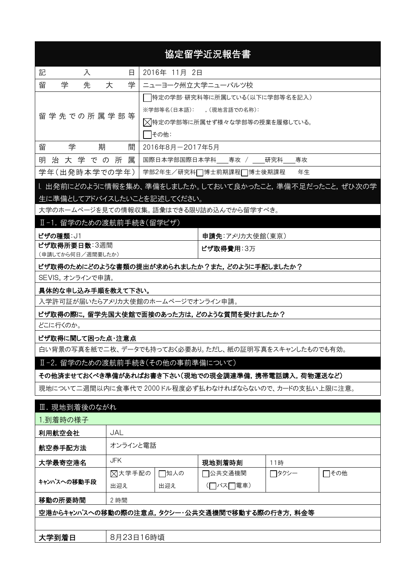| 協定留学近況報告書                                                                             |                                               |                   |                                                      |        |      |  |  |
|---------------------------------------------------------------------------------------|-----------------------------------------------|-------------------|------------------------------------------------------|--------|------|--|--|
| 記<br>2016年 11月 2日<br>入<br>Β                                                           |                                               |                   |                                                      |        |      |  |  |
| 学<br>留<br>先                                                                           | 学<br>大                                        | ニューヨーク州立大学ニューパルツ校 |                                                      |        |      |  |  |
|                                                                                       | 特定の学部・研究科等に所属している(以下に学部等名を記入)                 |                   |                                                      |        |      |  |  |
|                                                                                       |                                               |                   | ※学部等名(日本語): ,(現地言語での名称):                             |        |      |  |  |
| 留 学 先 で の 所 属 学 部 等                                                                   |                                               |                   | ◯【特定の学部等に所属せず様々な学部等の授業を履修している。                       |        |      |  |  |
|                                                                                       |                                               | その他:              |                                                      |        |      |  |  |
| 学<br>留<br>期                                                                           | 間                                             | 2016年8月-2017年5月   |                                                      |        |      |  |  |
| 治大学での所<br>明                                                                           | 属                                             |                   | 国際日本学部国際日本学科 専攻 / 研究科                                | 専攻     |      |  |  |
| 学年(出発時本学での学年)                                                                         |                                               |                   | 学部2年生/研究科□博士前期課程□博士後期課程                              | 年生     |      |  |  |
| l. 出発前にどのように情報を集め、準備をしましたか。しておいて良かったこと,準備不足だったこと,ぜひ次の学<br>生に準備としてアドバイスしたいことを記述してください。 |                                               |                   |                                                      |        |      |  |  |
| 大学のホームページを見ての情報収集。語彙はできる限り詰め込んでから留学すべき。                                               |                                               |                   |                                                      |        |      |  |  |
| Ⅱ-1. 留学のための渡航前手続き(留学ビザ)                                                               |                                               |                   |                                                      |        |      |  |  |
| ビザの種類: J1                                                                             |                                               |                   | 申請先:アメリカ大使館(東京)                                      |        |      |  |  |
| ビザ取得所要日数:3週間<br>(申請してから何日/週間要したか)                                                     |                                               |                   | ビザ取得費用:3万                                            |        |      |  |  |
| ビザ取得のためにどのような書類の提出が求められましたか?また、どのように手配しましたか?                                          |                                               |                   |                                                      |        |      |  |  |
| SEVIS。オンラインで申請。                                                                       |                                               |                   |                                                      |        |      |  |  |
| 具体的な申し込み手順を教えて下さい。                                                                    |                                               |                   |                                                      |        |      |  |  |
| 入学許可証が届いたらアメリカ大使館のホームページでオンライン申請。                                                     |                                               |                   |                                                      |        |      |  |  |
| ビザ取得の際に,留学先国大使館で面接のあった方は,どのような質問を受けましたか?                                              |                                               |                   |                                                      |        |      |  |  |
| どこに行くのか。                                                                              |                                               |                   |                                                      |        |      |  |  |
| ビザ取得に関して困った点・注意点                                                                      |                                               |                   |                                                      |        |      |  |  |
|                                                                                       |                                               |                   | 白い背景の写真を紙で二枚、データでも持っておく必要あり。ただし、紙の証明写真をスキャンしたものでも有効。 |        |      |  |  |
| Ⅱ-2. 留学のための渡航前手続き(その他の事前準備について)                                                       |                                               |                   |                                                      |        |      |  |  |
|                                                                                       |                                               |                   | その他済ませておくべき準備があればお書き下さい(現地での現金調達準備,携帯電話購入,荷物運送など)    |        |      |  |  |
| 現地について二週間以内に食事代で 2000ドル程度必ず払わなければならないので、カードの支払い上限に注意。                                 |                                               |                   |                                                      |        |      |  |  |
| Ⅲ. 現地到着後のながれ                                                                          |                                               |                   |                                                      |        |      |  |  |
| 1.到着時の様子                                                                              |                                               |                   |                                                      |        |      |  |  |
| 利用航空会社                                                                                | <b>JAL</b>                                    |                   |                                                      |        |      |  |  |
| 航空券手配方法                                                                               | オンラインと電話                                      |                   |                                                      |        |      |  |  |
| 大学最寄空港名                                                                               | JFK<br>現地到着時刻<br>11時                          |                   |                                                      |        |      |  |  |
|                                                                                       | ⊠大学手配の                                        | □知人の              | コ公共交通機関 わいちょう かいしょう                                  | ┌─タクシー | □その他 |  |  |
| キャンパスへの移動手段                                                                           | 出迎え                                           | 出迎え               | (□バス□電車)                                             |        |      |  |  |
| 移動の所要時間                                                                               | 2 時間                                          |                   |                                                      |        |      |  |  |
|                                                                                       | 空港からキャンパスへの移動の際の注意点,タクシー・公共交通機関で移動する際の行き方,料金等 |                   |                                                      |        |      |  |  |
|                                                                                       |                                               |                   |                                                      |        |      |  |  |
| 大学到着日                                                                                 | 8月23日16時頃                                     |                   |                                                      |        |      |  |  |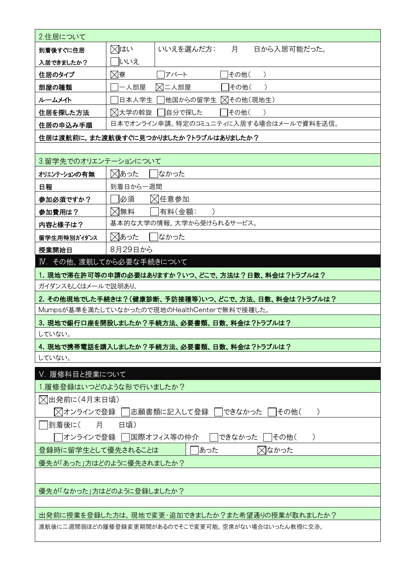| 2.住居について                                               |          |                                                  |  |  |  |
|--------------------------------------------------------|----------|--------------------------------------------------|--|--|--|
| 到着後すぐに住居                                               | ⊠はい      | 月<br>日から入居可能だった。<br>いいえを選んだ方:                    |  |  |  |
| 入居できましたか?                                              | いいえ      |                                                  |  |  |  |
| 住居のタイプ                                                 | ⊠寮       | その他(<br>アパート<br>$\lambda$                        |  |  |  |
| 部屋の種類                                                  | 一人部屋     | ⊠二人部屋<br> その他(<br>$\lambda$                      |  |  |  |
| ルームメイト                                                 | 日本人学生    | 他国からの留学生 ∑【その他(現地生)                              |  |  |  |
| 住居を探した方法                                               | ⊠大学の斡旋   | 自分で探した<br>その他(<br>$\rightarrow$                  |  |  |  |
| 住居の申込み手順                                               |          | 日本でオンライン申請。特定のコミュニティに入居する場合はメールで資料を送信。           |  |  |  |
|                                                        |          | 住居は渡航前に,また渡航後すぐに見つかりましたか?トラブルはありましたか?            |  |  |  |
|                                                        |          |                                                  |  |  |  |
| 3.留学先でのオリエンテーションについて                                   |          |                                                  |  |  |  |
| オリエンテーションの有無                                           | ⊠あった     | はかった                                             |  |  |  |
| 日程                                                     | 到着日から一週間 |                                                  |  |  |  |
| 参加必須ですか?                                               | 必須       | ⊠任意参加                                            |  |  |  |
| 参加費用は?                                                 | ⊠無料      | 有料(金額:                                           |  |  |  |
| 内容と様子は?                                                |          | 基本的な大学の情報。大学から受けられるサービス。                         |  |  |  |
| 留学生用特別がイダンス                                            | ⊠あった     | なかった                                             |  |  |  |
| 授業開始日                                                  | 8月29日から  |                                                  |  |  |  |
| Ⅳ. その他、渡航してから必要な手続きについて                                |          |                                                  |  |  |  |
|                                                        |          | 1. 現地で滞在許可等の申請の必要はありますか?いつ、どこで、方法は?日数、料金は?トラブルは? |  |  |  |
| ガイダンスもしくはメールで説明あり。                                     |          |                                                  |  |  |  |
| 2. その他現地でした手続きは?(健康診断、予防接種等)いつ、どこで、方法、日数、料金は?トラブルは?    |          |                                                  |  |  |  |
| Mumpsが基準を満たしていなかったので現地のHealthCenterで無料で接種した。           |          |                                                  |  |  |  |
| 3. 現地で銀行口座を開設しましたか?手続方法、必要書類、日数、料金は?トラブルは?             |          |                                                  |  |  |  |
| していない。                                                 |          |                                                  |  |  |  |
| 4. 現地で携帯電話を購入しましたか?手続方法、必要書類、日数、料金は?トラブルは?             |          |                                                  |  |  |  |
| していない。                                                 |          |                                                  |  |  |  |
| V. 履修科目と授業について                                         |          |                                                  |  |  |  |
| 1.履修登録はいつどのような形で行いましたか?                                |          |                                                  |  |  |  |
| ◯出発前に(4月末日頃)                                           |          |                                                  |  |  |  |
| ╳ オンラインで登録 │  志願書類に記入して登録 │  できなかった<br> その他(           |          |                                                  |  |  |  |
| 到着後に(<br>月<br>日頃)                                      |          |                                                  |  |  |  |
| オンラインで登録    国際オフィス等の仲介<br>できなかった<br> その他(<br>$\lambda$ |          |                                                  |  |  |  |
| 登録時に留学生として優先されることは<br>⊠なかった<br>あった                     |          |                                                  |  |  |  |
| 優先が「あった」方はどのように優先されましたか?                               |          |                                                  |  |  |  |
|                                                        |          |                                                  |  |  |  |
| 優先が「なかった」方はどのように登録しましたか?                               |          |                                                  |  |  |  |
|                                                        |          |                                                  |  |  |  |
| 出発前に授業を登録した方は,現地で変更・追加できましたか?また希望通りの授業が取れましたか?         |          |                                                  |  |  |  |
| 渡航後に二週間弱ほどの履修登録変更期間があるのでそこで変更可能。空席がない場合はいったん教授に交渉。     |          |                                                  |  |  |  |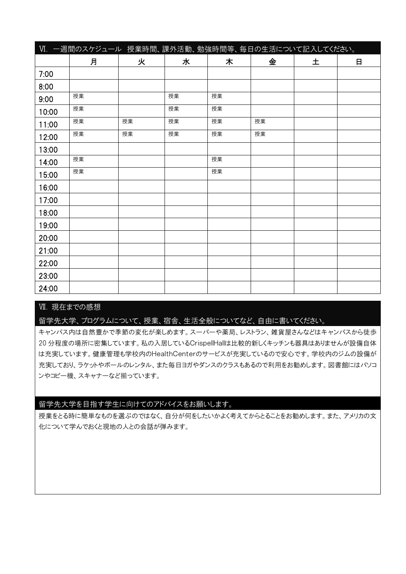|       | VI. 一週間のスケジュール 授業時間、課外活動、勉強時間等、毎日の生活について記入してください。 |    |    |    |    |   |              |
|-------|---------------------------------------------------|----|----|----|----|---|--------------|
|       | 月                                                 | 火  | 水  | 木  | 金  | 土 | $\mathsf{H}$ |
| 7:00  |                                                   |    |    |    |    |   |              |
| 8:00  |                                                   |    |    |    |    |   |              |
| 9:00  | 授業                                                |    | 授業 | 授業 |    |   |              |
| 10:00 | 授業                                                |    | 授業 | 授業 |    |   |              |
| 11:00 | 授業                                                | 授業 | 授業 | 授業 | 授業 |   |              |
| 12:00 | 授業                                                | 授業 | 授業 | 授業 | 授業 |   |              |
| 13:00 |                                                   |    |    |    |    |   |              |
| 14:00 | 授業                                                |    |    | 授業 |    |   |              |
| 15:00 | 授業                                                |    |    | 授業 |    |   |              |
| 16:00 |                                                   |    |    |    |    |   |              |
| 17:00 |                                                   |    |    |    |    |   |              |
| 18:00 |                                                   |    |    |    |    |   |              |
| 19:00 |                                                   |    |    |    |    |   |              |
| 20:00 |                                                   |    |    |    |    |   |              |
| 21:00 |                                                   |    |    |    |    |   |              |
| 22:00 |                                                   |    |    |    |    |   |              |
| 23:00 |                                                   |    |    |    |    |   |              |
| 24:00 |                                                   |    |    |    |    |   |              |

## Ⅶ. 現在までの感想

留学先大学、プログラムについて、授業、宿舎、生活全般についてなど、自由に書いてください。

キャンパス内は自然豊かで季節の変化が楽しめます。スーパーや薬局、レストラン、雑貨屋さんなどはキャンパスから徒歩 20 分程度の場所に密集しています。私の入居しているCrispellHallは比較的新しくキッチンも器具はありませんが設備自体 は充実しています。健康管理も学校内のHealthCenterのサービスが充実しているので安心です。学校内のジムの設備が 充実しており、ラケットやボールのレンタル、また毎日ヨガやダンスのクラスもあるので利用をお勧めします。図書館にはパソコ ンやコピー機、スキャナーなど揃っています。

## 留学先大学を目指す学生に向けてのアドバイスをお願いします。

授業をとる時に簡単なものを選ぶのではなく、自分が何をしたいかよく考えてからとることをお勧めします。また、アメリカの文 化について学んでおくと現地の人との会話が弾みます。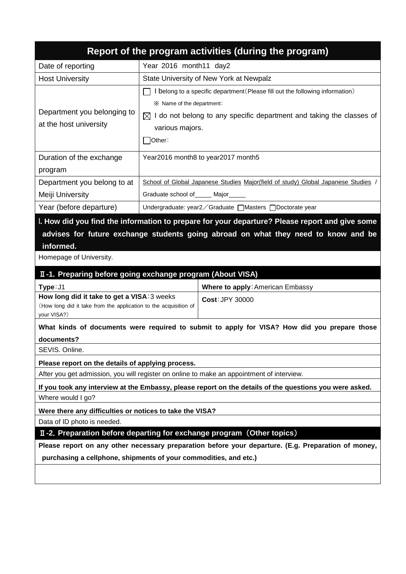|                                                                                                                                                                               |                                                                               | Report of the program activities (during the program)                                          |  |  |  |  |
|-------------------------------------------------------------------------------------------------------------------------------------------------------------------------------|-------------------------------------------------------------------------------|------------------------------------------------------------------------------------------------|--|--|--|--|
| Date of reporting                                                                                                                                                             | Year 2016 month11 day2                                                        |                                                                                                |  |  |  |  |
| <b>Host University</b>                                                                                                                                                        | State University of New York at Newpalz                                       |                                                                                                |  |  |  |  |
|                                                                                                                                                                               | I belong to a specific department (Please fill out the following information) |                                                                                                |  |  |  |  |
|                                                                                                                                                                               | ※ Name of the department:                                                     |                                                                                                |  |  |  |  |
| Department you belonging to                                                                                                                                                   |                                                                               | $\boxtimes$ I do not belong to any specific department and taking the classes of               |  |  |  |  |
| at the host university                                                                                                                                                        | various majors.                                                               |                                                                                                |  |  |  |  |
|                                                                                                                                                                               | Other:                                                                        |                                                                                                |  |  |  |  |
| Duration of the exchange                                                                                                                                                      |                                                                               | Year2016 month8 to year2017 month5                                                             |  |  |  |  |
| program                                                                                                                                                                       |                                                                               |                                                                                                |  |  |  |  |
| Department you belong to at                                                                                                                                                   |                                                                               | School of Global Japanese Studies Major(field of study) Global Japanese Studies                |  |  |  |  |
| Meiji University                                                                                                                                                              | Graduate school of _____ Major                                                |                                                                                                |  |  |  |  |
| Year (before departure)                                                                                                                                                       |                                                                               | Undergraduate: year2 ∕ Graduate [Masters [] Doctorate year                                     |  |  |  |  |
|                                                                                                                                                                               |                                                                               | I. How did you find the information to prepare for your departure? Please report and give some |  |  |  |  |
|                                                                                                                                                                               |                                                                               | advises for future exchange students going abroad on what they need to know and be             |  |  |  |  |
| informed.                                                                                                                                                                     |                                                                               |                                                                                                |  |  |  |  |
| Homepage of University.                                                                                                                                                       |                                                                               |                                                                                                |  |  |  |  |
| II-1. Preparing before going exchange program (About VISA)                                                                                                                    |                                                                               |                                                                                                |  |  |  |  |
| Type: J1                                                                                                                                                                      |                                                                               | Where to apply: American Embassy                                                               |  |  |  |  |
| How long did it take to get a VISA: 3 weeks<br>(How long did it take from the application to the acquisition of<br>your VISA?)                                                |                                                                               | <b>Cost: JPY 30000</b>                                                                         |  |  |  |  |
|                                                                                                                                                                               |                                                                               | What kinds of documents were required to submit to apply for VISA? How did you prepare those   |  |  |  |  |
| documents?                                                                                                                                                                    |                                                                               |                                                                                                |  |  |  |  |
| SEVIS. Online.                                                                                                                                                                |                                                                               |                                                                                                |  |  |  |  |
| Please report on the details of applying process.                                                                                                                             |                                                                               |                                                                                                |  |  |  |  |
|                                                                                                                                                                               |                                                                               | After you get admission, you will register on online to make an appointment of interview.      |  |  |  |  |
| If you took any interview at the Embassy, please report on the details of the questions you were asked.                                                                       |                                                                               |                                                                                                |  |  |  |  |
| Where would I go?                                                                                                                                                             |                                                                               |                                                                                                |  |  |  |  |
| Were there any difficulties or notices to take the VISA?                                                                                                                      |                                                                               |                                                                                                |  |  |  |  |
| Data of ID photo is needed.                                                                                                                                                   |                                                                               |                                                                                                |  |  |  |  |
| II-2. Preparation before departing for exchange program (Other topics)<br>Please report on any other necessary preparation before your departure. (E.g. Preparation of money, |                                                                               |                                                                                                |  |  |  |  |
| purchasing a cellphone, shipments of your commodities, and etc.)                                                                                                              |                                                                               |                                                                                                |  |  |  |  |
|                                                                                                                                                                               |                                                                               |                                                                                                |  |  |  |  |
|                                                                                                                                                                               |                                                                               |                                                                                                |  |  |  |  |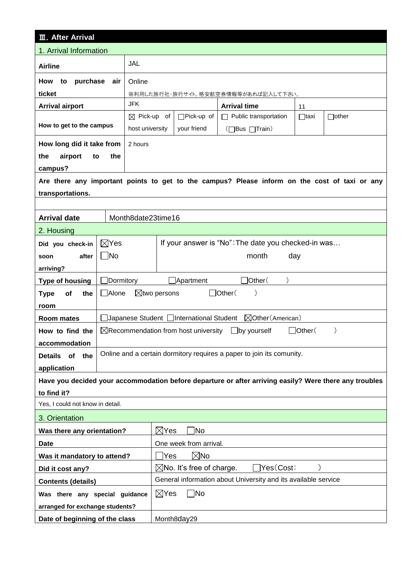| <b>III. After Arrival</b>        |                 |                                                                  |                                                   |                                                                                                        |             |              |  |
|----------------------------------|-----------------|------------------------------------------------------------------|---------------------------------------------------|--------------------------------------------------------------------------------------------------------|-------------|--------------|--|
| 1. Arrival Information           |                 |                                                                  |                                                   |                                                                                                        |             |              |  |
| <b>Airline</b>                   |                 | JAL                                                              |                                                   |                                                                                                        |             |              |  |
| purchase<br>How<br>to            | air             | Online                                                           |                                                   |                                                                                                        |             |              |  |
| ticket                           |                 |                                                                  |                                                   | ※利用した旅行社・旅行サイト,格安航空券情報等があれば記入して下さい。                                                                    |             |              |  |
| <b>Arrival airport</b>           |                 | <b>JFK</b>                                                       |                                                   | <b>Arrival time</b>                                                                                    | 11          |              |  |
|                                  |                 | $\boxtimes$ Pick-up of                                           | $\Box$ Pick-up of                                 | Public transportation<br>$\Box$                                                                        | $\Box$ taxi | $\Box$ other |  |
| How to get to the campus         |                 | host university                                                  | your friend                                       | (□Bus □Train)                                                                                          |             |              |  |
| How long did it take from        |                 | 2 hours                                                          |                                                   |                                                                                                        |             |              |  |
| the<br>airport<br>to             | the             |                                                                  |                                                   |                                                                                                        |             |              |  |
| campus?                          |                 |                                                                  |                                                   |                                                                                                        |             |              |  |
|                                  |                 |                                                                  |                                                   | Are there any important points to get to the campus? Please inform on the cost of taxi or any          |             |              |  |
| transportations.                 |                 |                                                                  |                                                   |                                                                                                        |             |              |  |
|                                  |                 |                                                                  |                                                   |                                                                                                        |             |              |  |
| <b>Arrival date</b>              |                 | Month8date23time16                                               |                                                   |                                                                                                        |             |              |  |
| 2. Housing                       |                 |                                                                  |                                                   |                                                                                                        |             |              |  |
| Did you check-in                 | $\boxtimes$ Yes |                                                                  |                                                   | If your answer is "No": The date you checked-in was                                                    |             |              |  |
| after<br>soon                    | $\Box$ No       |                                                                  |                                                   | month                                                                                                  | day         |              |  |
| arriving?                        |                 |                                                                  |                                                   |                                                                                                        |             |              |  |
| <b>Type of housing</b>           |                 | Dormitory<br>]Other(<br>Apartment                                |                                                   |                                                                                                        |             |              |  |
| of<br>the<br><b>Type</b>         |                 | □ Alone<br>$\Box$ Other(<br>$\boxtimes$ two persons<br>$\lambda$ |                                                   |                                                                                                        |             |              |  |
| room                             |                 |                                                                  |                                                   |                                                                                                        |             |              |  |
| <b>Room mates</b>                |                 |                                                                  | ]Japanese Student □International Student          | ⊠Other(American)                                                                                       |             |              |  |
| How to find the                  |                 |                                                                  | $\boxtimes$ Recommendation from host university   | $\Box$ by yourself                                                                                     | ]Other(     |              |  |
| accommodation                    |                 |                                                                  |                                                   |                                                                                                        |             |              |  |
| of<br><b>Details</b><br>the      |                 |                                                                  |                                                   | Online and a certain dormitory requires a paper to join its comunity.                                  |             |              |  |
| application                      |                 |                                                                  |                                                   |                                                                                                        |             |              |  |
|                                  |                 |                                                                  |                                                   | Have you decided your accommodation before departure or after arriving easily? Were there any troubles |             |              |  |
| to find it?                      |                 |                                                                  |                                                   |                                                                                                        |             |              |  |
| Yes, I could not know in detail. |                 |                                                                  |                                                   |                                                                                                        |             |              |  |
| 3. Orientation                   |                 |                                                                  |                                                   |                                                                                                        |             |              |  |
| Was there any orientation?       |                 |                                                                  | ]No<br>$\boxtimes$ Yes                            |                                                                                                        |             |              |  |
| Date                             |                 |                                                                  | One week from arrival.                            |                                                                                                        |             |              |  |
| Was it mandatory to attend?      |                 |                                                                  | $\boxtimes$ No<br> Yes                            |                                                                                                        |             |              |  |
| Did it cost any?                 |                 |                                                                  | Yes(Cost:<br>$\boxtimes$ No. It's free of charge. |                                                                                                        |             |              |  |
| <b>Contents (details)</b>        |                 |                                                                  |                                                   | General information about University and its available service                                         |             |              |  |
| Was there any special guidance   |                 |                                                                  | $\boxtimes$ Yes<br>$\neg$ No                      |                                                                                                        |             |              |  |
| arranged for exchange students?  |                 |                                                                  |                                                   |                                                                                                        |             |              |  |
| Date of beginning of the class   |                 |                                                                  | Month8day29                                       |                                                                                                        |             |              |  |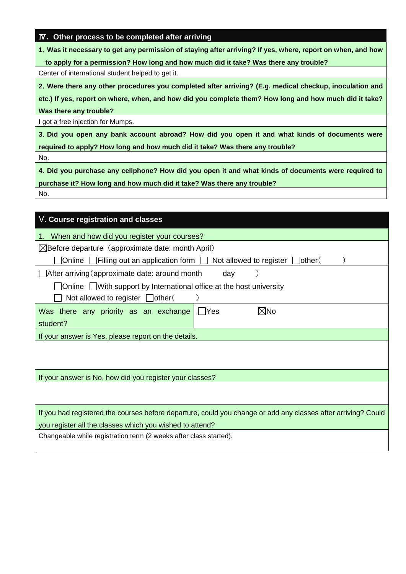|  |  | IV. Other process to be completed after arriving |  |
|--|--|--------------------------------------------------|--|
|  |  |                                                  |  |

**1**.**Was it necessary to get any permission of staying after arriving? If yes, where, report on when, and how** 

**to apply for a permission? How long and how much did it take? Was there any trouble?**

Center of international student helped to get it.

**2**.**Were there any other procedures you completed after arriving? (E.g. medical checkup, inoculation and**

**etc.) If yes, report on where, when, and how did you complete them? How long and how much did it take? Was there any trouble?**

I got a free injection for Mumps.

**3**.**Did you open any bank account abroad? How did you open it and what kinds of documents were required to apply? How long and how much did it take? Was there any trouble?**

No.

**4**.**Did you purchase any cellphone? How did you open it and what kinds of documents were required to purchase it? How long and how much did it take? Was there any trouble?** No.

V**. Course registration and classes**  1. When and how did you register your courses?  $\boxtimes$ Before departure (approximate date: month April)  $\Box$  Online  $\Box$  Filling out an application form  $\Box$  Not allowed to register  $\Box$  other (  $\Box$  After arriving (approximate date: around month day )  $\Box$  Online  $\Box$  With support by International office at the host university  $\Box$  Not allowed to register  $\Box$  other( Was there any priority as an exchange student?  $\Box$ Yes  $\boxtimes$ No If your answer is Yes, please report on the details. If your answer is No, how did you register your classes? If you had registered the courses before departure, could you change or add any classes after arriving? Could you register all the classes which you wished to attend? Changeable while registration term (2 weeks after class started).